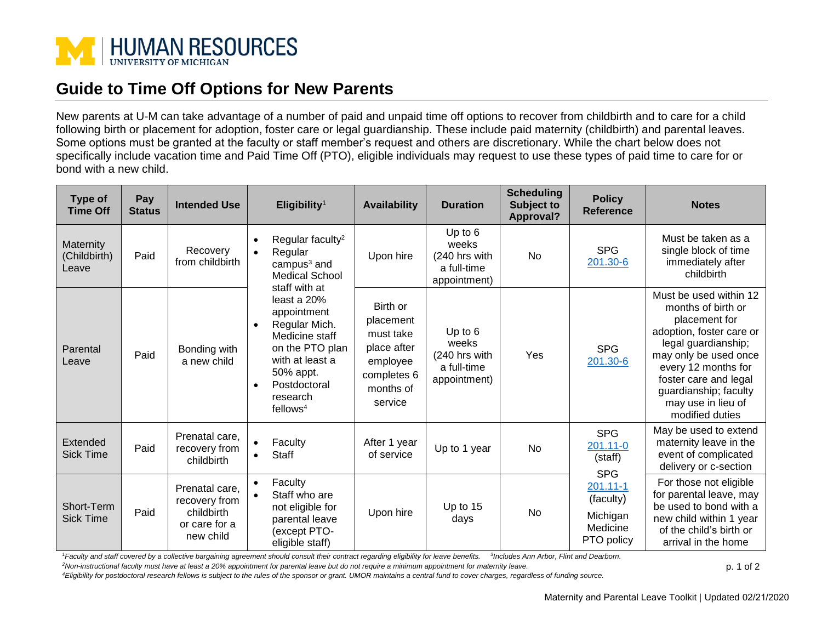

## **Guide to Time Off Options for New Parents**

New parents at U-M can take advantage of a number of paid and unpaid time off options to recover from childbirth and to care for a child following birth or placement for adoption, foster care or legal guardianship. These include paid maternity (childbirth) and parental leaves. Some options must be granted at the faculty or staff member's request and others are discretionary. While the chart below does not specifically include vacation time and Paid Time Off (PTO), eligible individuals may request to use these types of paid time to care for or bond with a new child.

| Type of<br><b>Time Off</b>         | Pay<br><b>Status</b> | <b>Intended Use</b>                                                         | Eligibility <sup>1</sup>                                                                                                                                                               | <b>Availability</b>                                                                                  | <b>Duration</b>                                                    | <b>Scheduling</b><br>Subject to<br><b>Approval?</b> | <b>Policy</b><br><b>Reference</b>                               | <b>Notes</b>                                                                                                                                                                                                                                                |
|------------------------------------|----------------------|-----------------------------------------------------------------------------|----------------------------------------------------------------------------------------------------------------------------------------------------------------------------------------|------------------------------------------------------------------------------------------------------|--------------------------------------------------------------------|-----------------------------------------------------|-----------------------------------------------------------------|-------------------------------------------------------------------------------------------------------------------------------------------------------------------------------------------------------------------------------------------------------------|
| Maternity<br>(Childbirth)<br>Leave | Paid                 | Recovery<br>from childbirth                                                 | Regular faculty <sup>2</sup><br>Regular<br>$\bullet$<br>campus <sup>3</sup> and<br><b>Medical School</b><br>staff with at                                                              | Upon hire                                                                                            | Up to $6$<br>weeks<br>(240 hrs with<br>a full-time<br>appointment) | No                                                  | <b>SPG</b><br>201.30-6                                          | Must be taken as a<br>single block of time<br>immediately after<br>childbirth                                                                                                                                                                               |
| Parental<br>Leave                  | Paid                 | Bonding with<br>a new child                                                 | least a $20%$<br>appointment<br>Regular Mich.<br>$\bullet$<br>Medicine staff<br>on the PTO plan<br>with at least a<br>50% appt.<br>Postdoctoral<br>research<br>$f$ ellows <sup>4</sup> | Birth or<br>placement<br>must take<br>place after<br>employee<br>completes 6<br>months of<br>service | Up to $6$<br>weeks<br>(240 hrs with<br>a full-time<br>appointment) | Yes                                                 | <b>SPG</b><br>201.30-6                                          | Must be used within 12<br>months of birth or<br>placement for<br>adoption, foster care or<br>legal guardianship;<br>may only be used once<br>every 12 months for<br>foster care and legal<br>guardianship; faculty<br>may use in lieu of<br>modified duties |
| Extended<br><b>Sick Time</b>       | Paid                 | Prenatal care,<br>recovery from<br>childbirth                               | Faculty<br>$\bullet$<br><b>Staff</b>                                                                                                                                                   | After 1 year<br>of service                                                                           | Up to 1 year                                                       | No                                                  | <b>SPG</b><br>201.11-0<br>(staff)<br><b>SPG</b>                 | May be used to extend<br>maternity leave in the<br>event of complicated<br>delivery or c-section                                                                                                                                                            |
| Short-Term<br><b>Sick Time</b>     | Paid                 | Prenatal care,<br>recovery from<br>childbirth<br>or care for a<br>new child | Faculty<br>$\bullet$<br>Staff who are<br>not eligible for<br>parental leave<br>(except PTO-<br>eligible staff)                                                                         | Upon hire                                                                                            | Up to 15<br>days                                                   | No                                                  | $201.11 - 1$<br>(faculty)<br>Michigan<br>Medicine<br>PTO policy | For those not eligible<br>for parental leave, may<br>be used to bond with a<br>new child within 1 year<br>of the child's birth or<br>arrival in the home                                                                                                    |

<sup>1</sup> Faculty and staff covered by a collective bargaining agreement should consult their contract regarding eligibility for leave benefits. <sup>3</sup>Includes Ann Arbor, Flint and Dearborn.

*<sup>2</sup>Non-instructional faculty must have at least a 20% appointment for parental leave but do not require a minimum appointment for maternity leave.*

*<sup>4</sup>Eligibility for postdoctoral research fellows is subject to the rules of the sponsor or grant. UMOR maintains a central fund to cover charges, regardless of funding source.*

p. 1 of 2